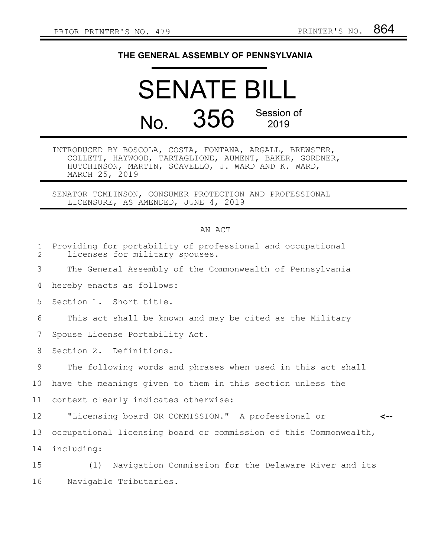## **THE GENERAL ASSEMBLY OF PENNSYLVANIA**

## SENATE BILL No. 356 Session of 2019

INTRODUCED BY BOSCOLA, COSTA, FONTANA, ARGALL, BREWSTER, COLLETT, HAYWOOD, TARTAGLIONE, AUMENT, BAKER, GORDNER, HUTCHINSON, MARTIN, SCAVELLO, J. WARD AND K. WARD, MARCH 25, 2019

SENATOR TOMLINSON, CONSUMER PROTECTION AND PROFESSIONAL LICENSURE, AS AMENDED, JUNE 4, 2019

## AN ACT

| $\mathbf{1}$<br>$\overline{2}$ | Providing for portability of professional and occupational<br>licenses for military spouses. |
|--------------------------------|----------------------------------------------------------------------------------------------|
| 3                              | The General Assembly of the Commonwealth of Pennsylvania                                     |
| 4                              | hereby enacts as follows:                                                                    |
| 5                              | Section 1. Short title.                                                                      |
| 6                              | This act shall be known and may be cited as the Military                                     |
| 7                              | Spouse License Portability Act.                                                              |
| 8                              | Section 2. Definitions.                                                                      |
| 9                              | The following words and phrases when used in this act shall                                  |
| 10                             | have the meanings given to them in this section unless the                                   |
| 11                             | context clearly indicates otherwise:                                                         |
| 12                             | "Licensing board OR COMMISSION." A professional or<br><--                                    |
| 13                             | occupational licensing board or commission of this Commonwealth,                             |
| 14                             | including:                                                                                   |
| 15                             | Navigation Commission for the Delaware River and its<br>(1)                                  |
| 16                             | Navigable Tributaries.                                                                       |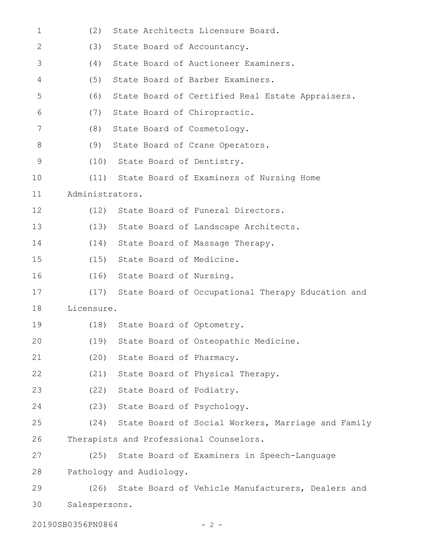| $\mathbf 1$    | State Architects Licensure Board.<br>(2)                  |
|----------------|-----------------------------------------------------------|
| $\mathbf{2}$   | (3)<br>State Board of Accountancy.                        |
| 3              | State Board of Auctioneer Examiners.<br>(4)               |
| 4              | State Board of Barber Examiners.<br>(5)                   |
| 5              | State Board of Certified Real Estate Appraisers.<br>(6)   |
| 6              | State Board of Chiropractic.<br>(7)                       |
| $\overline{7}$ | (8)<br>State Board of Cosmetology.                        |
| 8              | State Board of Crane Operators.<br>(9)                    |
| 9              | (10) State Board of Dentistry.                            |
| 10             | (11) State Board of Examiners of Nursing Home             |
| 11             | Administrators.                                           |
| 12             | State Board of Funeral Directors.<br>(12)                 |
| 13             | State Board of Landscape Architects.<br>(13)              |
| 14             | (14)<br>State Board of Massage Therapy.                   |
| 15             | State Board of Medicine.<br>(15)                          |
| 16             | State Board of Nursing.<br>(16)                           |
| 17             | State Board of Occupational Therapy Education and<br>(17) |
| 18             | Licensure.                                                |
| 19             | State Board of Optometry.<br>(18)                         |
| 20             | (19) State Board of Osteopathic Medicine.                 |
| 21             | (20)<br>State Board of Pharmacy.                          |
| 22             | (21)<br>State Board of Physical Therapy.                  |
| 23             | (22) State Board of Podiatry.                             |
| 24             | (23) State Board of Psychology.                           |
| 25             | (24) State Board of Social Workers, Marriage and Family   |
| 26             | Therapists and Professional Counselors.                   |
| 27             | State Board of Examiners in Speech-Language<br>(25)       |
| 28             | Pathology and Audiology.                                  |
| 29             | State Board of Vehicle Manufacturers, Dealers and<br>(26) |
| 30             | Salespersons.                                             |
|                |                                                           |

20190SB0356PN0864 - 2 -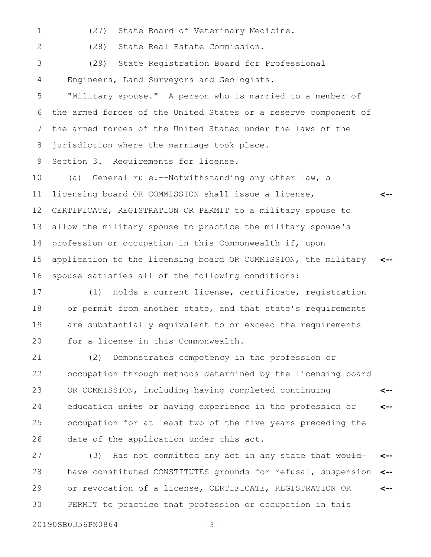- 1
- (27) State Board of Veterinary Medicine.

2

(28) State Real Estate Commission.

(29) State Registration Board for Professional Engineers, Land Surveyors and Geologists. 3 4

"Military spouse." A person who is married to a member of the armed forces of the United States or a reserve component of the armed forces of the United States under the laws of the jurisdiction where the marriage took place. 5 6 7 8

Section 3. Requirements for license. 9

(a) General rule.--Notwithstanding any other law, a licensing board OR COMMISSION shall issue a license, CERTIFICATE, REGISTRATION OR PERMIT to a military spouse to allow the military spouse to practice the military spouse's profession or occupation in this Commonwealth if, upon application to the licensing board OR COMMISSION, the military spouse satisfies all of the following conditions: **<-- <--** 10 11 12 13 14 15 16

(1) Holds a current license, certificate, registration or permit from another state, and that state's requirements are substantially equivalent to or exceed the requirements for a license in this Commonwealth. 17 18 19 20

(2) Demonstrates competency in the profession or occupation through methods determined by the licensing board OR COMMISSION, including having completed continuing education units or having experience in the profession or occupation for at least two of the five years preceding the date of the application under this act. **<-- <--** 21 22 23 24 25 26

(3) Has not committed any act in any state that  $\text{would}$ have constituted CONSTITUTES grounds for refusal, suspension or revocation of a license, CERTIFICATE, REGISTRATION OR PERMIT to practice that profession or occupation in this **<-- <-- <--** 27 28 29 30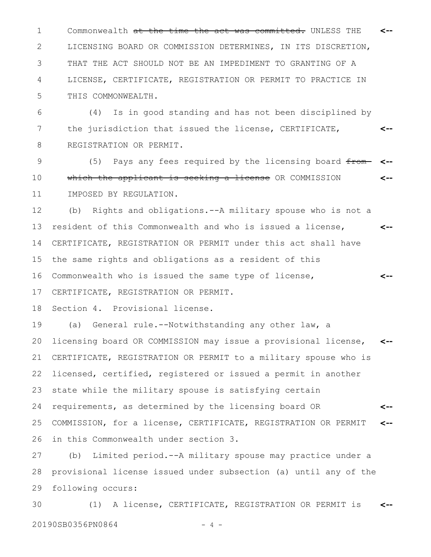Commonwealth at the time the act was committed. UNLESS THE 1 **<--** LICENSING BOARD OR COMMISSION DETERMINES, IN ITS DISCRETION, THAT THE ACT SHOULD NOT BE AN IMPEDIMENT TO GRANTING OF A LICENSE, CERTIFICATE, REGISTRATION OR PERMIT TO PRACTICE IN THIS COMMONWEALTH. 2 3 4 5

(4) Is in good standing and has not been disciplined by the jurisdiction that issued the license, CERTIFICATE, REGISTRATION OR PERMIT. **<--** 6 7 8

(5) Pays any fees required by the licensing board  $f_{\text{from}}$ which the applicant is seeking a license OR COMMISSION IMPOSED BY REGULATION. **<-- <--** 9 10 11

(b) Rights and obligations.--A military spouse who is not a resident of this Commonwealth and who is issued a license, CERTIFICATE, REGISTRATION OR PERMIT under this act shall have the same rights and obligations as a resident of this Commonwealth who is issued the same type of license, CERTIFICATE, REGISTRATION OR PERMIT. **<-- <--** 12 13 14 15 16 17

Section 4. Provisional license. 18

(a) General rule.--Notwithstanding any other law, a licensing board OR COMMISSION may issue a provisional license, CERTIFICATE, REGISTRATION OR PERMIT to a military spouse who is licensed, certified, registered or issued a permit in another state while the military spouse is satisfying certain requirements, as determined by the licensing board OR COMMISSION, for a license, CERTIFICATE, REGISTRATION OR PERMIT in this Commonwealth under section 3. **<-- <-- <--** 19 20 21 22 23 24 25 26

(b) Limited period.--A military spouse may practice under a provisional license issued under subsection (a) until any of the following occurs: 27 28 29

(1) A license, CERTIFICATE, REGISTRATION OR PERMIT is 20190SB0356PN0864 - 4 -**<--** 30